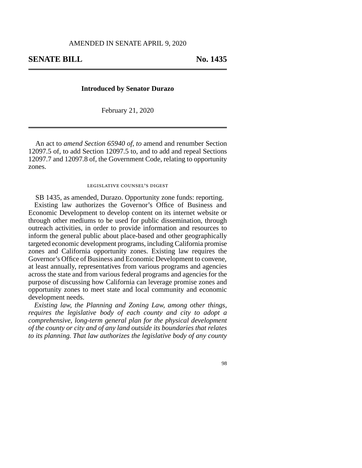## **Introduced by Senator Durazo**

February 21, 2020

An act to *amend Section 65940 of, to* amend and renumber Section 12097.5 of, to add Section 12097.5 to, and to add and repeal Sections 12097.7 and 12097.8 of, the Government Code, relating to opportunity zones.

## legislative counsel's digest

SB 1435, as amended, Durazo. Opportunity zone funds: reporting. Existing law authorizes the Governor's Office of Business and Economic Development to develop content on its internet website or through other mediums to be used for public dissemination, through outreach activities, in order to provide information and resources to inform the general public about place-based and other geographically targeted economic development programs, including California promise zones and California opportunity zones. Existing law requires the Governor's Office of Business and Economic Development to convene, at least annually, representatives from various programs and agencies across the state and from various federal programs and agencies for the purpose of discussing how California can leverage promise zones and opportunity zones to meet state and local community and economic development needs.

*Existing law, the Planning and Zoning Law, among other things, requires the legislative body of each county and city to adopt a comprehensive, long-term general plan for the physical development of the county or city and of any land outside its boundaries that relates to its planning. That law authorizes the legislative body of any county*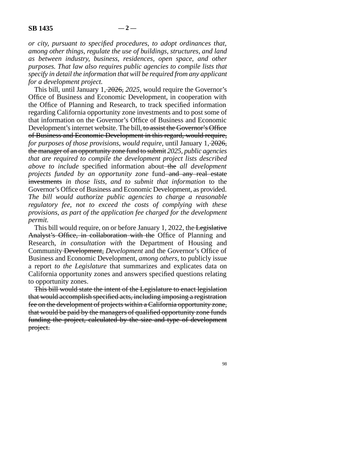*or city, pursuant to specified procedures, to adopt ordinances that, among other things, regulate the use of buildings, structures, and land as between industry, business, residences, open space, and other purposes. That law also requires public agencies to compile lists that specify in detail the information that will be required from any applicant for a development project.* 

This bill, until January 1, 2026, *2025,* would require the Governor's Office of Business and Economic Development, in cooperation with the Office of Planning and Research, to track specified information regarding California opportunity zone investments and to post some of that information on the Governor's Office of Business and Economic Development's internet website. The bill, to assist the Governor's Office of Business and Economic Development in this regard, would require, *for purposes of those provisions, would require,* until January 1, 2026, the manager of an opportunity zone fund to submit *2025, public agencies that are required to compile the development project lists described above to include* specified information about the *all development projects funded by an opportunity zone* fund and any real estate investments *in those lists, and to submit that information* to the Governor's Office of Business and Economic Development, as provided. *The bill would authorize public agencies to charge a reasonable regulatory fee, not to exceed the costs of complying with these provisions, as part of the application fee charged for the development permit.* 

This bill would require, on or before January 1, 2022, the Legislative Analyst's Office, in collaboration with the Office of Planning and Research, *in consultation with* the Department of Housing and Community Development, *Development* and the Governor's Office of Business and Economic Development, *among others,* to publicly issue a report *to the Legislature* that summarizes and explicates data on California opportunity zones and answers specified questions relating to opportunity zones.

This bill would state the intent of the Legislature to enact legislation that would accomplish specified acts, including imposing a registration fee on the development of projects within a California opportunity zone, that would be paid by the managers of qualified opportunity zone funds funding the project, calculated by the size and type of development project.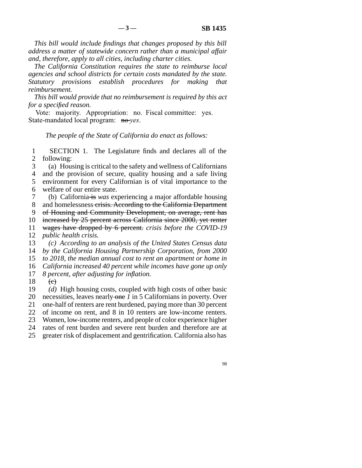*This bill would include findings that changes proposed by this bill address a matter of statewide concern rather than a municipal affair and, therefore, apply to all cities, including charter cities.* 

*The California Constitution requires the state to reimburse local agencies and school districts for certain costs mandated by the state. Statutory provisions establish procedures for making that reimbursement.* 

*This bill would provide that no reimbursement is required by this act for a specified reason.* 

Vote: majority. Appropriation: no. Fiscal committee: yes. State-mandated local program: no-*yes*.

*The people of the State of California do enact as follows:* 

1 SECTION 1. The Legislature finds and declares all of the 2 following:

line 3 (a) Housing is critical to the safety and wellness of Californians

4 and the provision of secure, quality housing and a safe living 5 environment for every Californian is of vital importance to the

6 welfare of our entire state.

 line 7 (b) California is *was* experiencing a major affordable housing 8 and homelessness crisis. According to the California Department 9 of Housing and Community Development, on average, rent has

10 increased by 25 percent across California since 2000, yet renter

line 11 wages have dropped by 6 percent. *crisis before the COVID-19* 

12 *public health crisis.* 

13 (c) According to an analysis of the United States Census data 14 *by the California Housing Partnership Corporation, from 2000* 

15 *to 2018, the median annual cost to rent an apartment or home in* 

16 *California increased 40 percent while incomes have gone up only* 

17 *8 percent, after adjusting for inflation.* 

 $\begin{array}{cc} 18 & \text{ (e)} \\ 19 & \text{(d)} \end{array}$ 

(d) High housing costs, coupled with high costs of other basic

20 necessities, leaves nearly one *1* in 5 Californians in poverty. Over

21 one-half of renters are rent burdened, paying more than 30 percent

22 of income on rent, and 8 in 10 renters are low-income renters.

23 Women, low-income renters, and people of color experience higher

24 rates of rent burden and severe rent burden and therefore are at

25 greater risk of displacement and gentrification. California also has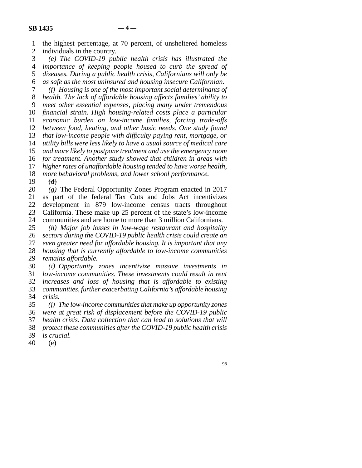| $\mathbf{1}$   | the highest percentage, at 70 percent, of unsheltered homeless                                                                   |
|----------------|----------------------------------------------------------------------------------------------------------------------------------|
| $\overline{2}$ | individuals in the country.                                                                                                      |
| 3              | (e) The COVID-19 public health crisis has illustrated the                                                                        |
| $\overline{4}$ | importance of keeping people housed to curb the spread of                                                                        |
| 5              | diseases. During a public health crisis, Californians will only be                                                               |
| 6              | as safe as the most uninsured and housing insecure Californian.                                                                  |
| 7              | (f) Housing is one of the most important social determinants of                                                                  |
| 8              | health. The lack of affordable housing affects families' ability to                                                              |
| 9              | meet other essential expenses, placing many under tremendous                                                                     |
| 10             | financial strain. High housing-related costs place a particular                                                                  |
| 11             | economic burden on low-income families, forcing trade-offs                                                                       |
| 12             | between food, heating, and other basic needs. One study found                                                                    |
| 13             | that low-income people with difficulty paying rent, mortgage, or                                                                 |
| 14             | utility bills were less likely to have a usual source of medical care                                                            |
| 15             | and more likely to postpone treatment and use the emergency room                                                                 |
| 16             | for treatment. Another study showed that children in areas with                                                                  |
| 17             | higher rates of unaffordable housing tended to have worse health,                                                                |
| 18             | more behavioral problems, and lower school performance.                                                                          |
| 19             | (d)                                                                                                                              |
| 20             | $(g)$ The Federal Opportunity Zones Program enacted in 2017                                                                      |
| 21             | as part of the federal Tax Cuts and Jobs Act incentivizes                                                                        |
| 22             | development in 879 low-income census tracts throughout                                                                           |
| 23             | California. These make up 25 percent of the state's low-income                                                                   |
| 24             | communities and are home to more than 3 million Californians.                                                                    |
| 25             | (h) Major job losses in low-wage restaurant and hospitality                                                                      |
| 26             | sectors during the COVID-19 public health crisis could create an                                                                 |
| 27             | even greater need for affordable housing. It is important that any                                                               |
| 28             | housing that is currently affordable to low-income communities                                                                   |
| 29             | remains affordable.                                                                                                              |
| 30             | (i) Opportunity zones incentivize massive investments<br>in                                                                      |
| 31             | low-income communities. These investments could result in rent                                                                   |
| 32<br>33       | increases and loss of housing that is affordable to existing                                                                     |
| 34             | communities, further exacerbating California's affordable housing<br>crisis.                                                     |
|                |                                                                                                                                  |
| 35<br>36       | $(i)$ The low-income communities that make up opportunity zones<br>were at great risk of displacement before the COVID-19 public |
| 37             | health crisis. Data collection that can lead to solutions that will                                                              |
| 38             | protect these communities after the COVID-19 public health crisis                                                                |
| 39             | is crucial.                                                                                                                      |
| 40             | (e)                                                                                                                              |
|                |                                                                                                                                  |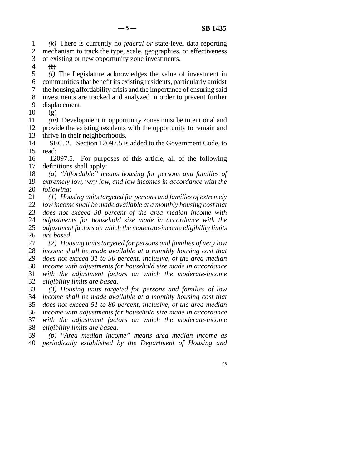line 1 *(k)* There is currently no *federal or* state-level data reporting 2 mechanism to track the type, scale, geographies, or effectiveness

3 of existing or new opportunity zone investments.

 $4 \quad \textcircled{f}$ 

5 *(l)* The Legislature acknowledges the value of investment in

- line 6 communities that benefit its existing residents, particularly amidst
- line 7 the housing affordability crisis and the importance of ensuring said
- 8 investments are tracked and analyzed in order to prevent further
- 9 displacement.
- $10 \quad (\text{g})$

11 *(m)* Development in opportunity zones must be intentional and 12 provide the existing residents with the opportunity to remain and 13 thrive in their neighborhoods.

14 SEC. 2. Section 12097.5 is added to the Government Code, to 15 read:

16 12097.5. For purposes of this article, all of the following 17 definitions shall apply:

18 (a) "Affordable" means housing for persons and families of 19 *extremely low, very low, and low incomes in accordance with the* 20 *following:* 

 line 21 *(1) Housing units targeted for persons and families of extremely*  22 *low income shall be made available at a monthly housing cost that* 23 *does not exceed 30 percent of the area median income with* 24 *adjustments for household size made in accordance with the* <br>25 *adjustment factors on which the moderate-income eligibility limits* adjustment factors on which the moderate-income eligibility limits

26 *are based.* 

27 (2) Housing units targeted for persons and families of very low line 28 *income shall be made available at a monthly housing cost that*  29 *does not exceed 31 to 50 percent, inclusive, of the area median*  line 30 *income with adjustments for household size made in accordance*  line 31 *with the adjustment factors on which the moderate-income*  32 *eligibility limits are based.* 

 line 33 *(3) Housing units targeted for persons and families of low*  line 34 *income shall be made available at a monthly housing cost that*  line 35 *does not exceed 51 to 80 percent, inclusive, of the area median*  line 36 *income with adjustments for household size made in accordance*  37 with the adjustment factors on which the moderate-income 38 *eligibility limits are based.* 

 line 39 *(b) "Area median income" means area median income as*  line 40 *periodically established by the Department of Housing and*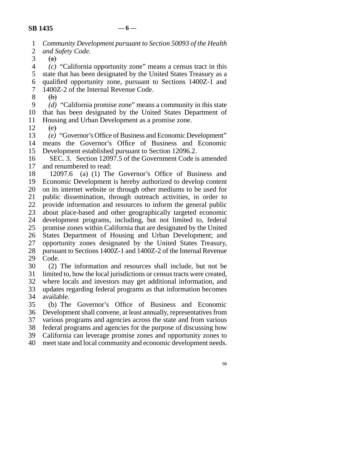- line 1 *Community Development pursuant to Section 50093 of the Health*  2 *and Safety Code.*<br>3 <del>(a)</del>
- $\left(\mathrm{a}\right)$

 line 4 *(c)* "California opportunity zone" means a census tract in this 5 state that has been designated by the United States Treasury as a line 6 qualified opportunity zone, pursuant to Sections 1400Z-1 and 7 1400Z-2 of the Internal Revenue Code.

 $\begin{matrix} 8 \\ 6 \end{matrix}$  (b)

 line 9 *(d)* "California promise zone" means a community in this state 10 that has been designated by the United States Department of 11 Housing and Urban Development as a promise zone.

 $12 \quad \text{~\'e}$ 

13 *(e)* "Governor's Office of Business and Economic Development"<br>14 means the Governor's Office of Business and Economic means the Governor's Office of Business and Economic

15 Development established pursuant to Section 12096.2.

16 SEC. 3. Section 12097.5 of the Government Code is amended 17 and renumbered to read:

18 12097.6 (a) (1) The Governor's Office of Business and 19 Economic Development is hereby authorized to develop content 20 on its internet website or through other mediums to be used for 21 public dissemination, through outreach activities, in order to 22 provide information and resources to inform the general public<br>23 about place-based and other geographically targeted economic about place-based and other geographically targeted economic 24 development programs, including, but not limited to, federal 25 promise zones within California that are designated by the United promise zones within California that are designated by the United 26 States Department of Housing and Urban Development; and 27 opportunity zones designated by the United States Treasury, 28 pursuant to Sections 1400Z-1 and 1400Z-2 of the Internal Revenue 29 Code.

30 (2) The information and resources shall include, but not be 31 limited to, how the local jurisdictions or census tracts were created, 32 where locals and investors may get additional information, and 33 updates regarding federal programs as that information becomes

34 available.

 line 35 (b) The Governor's Office of Business and Economic 36 Development shall convene, at least annually, representatives from 37 various programs and agencies across the state and from various 38 federal programs and agencies for the purpose of discussing how 39 California can leverage promise zones and opportunity zones to 40 meet state and local community and economic development needs.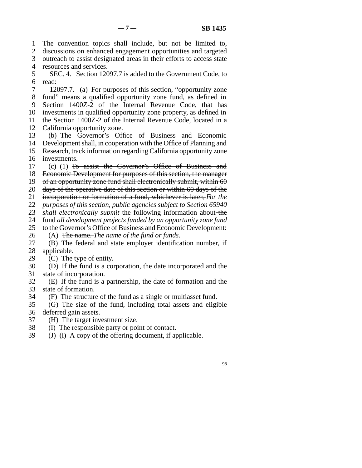1 The convention topics shall include, but not be limited to,

2 discussions on enhanced engagement opportunities and targeted 3 outreach to assist designated areas in their efforts to access state 4 resources and services.

5 SEC. 4. Section 12097.7 is added to the Government Code, to 6 read:

7 12097.7. (a) For purposes of this section, "opportunity zone 8 fund" means a qualified opportunity zone fund, as defined in 9 Section 1400Z-2 of the Internal Revenue Code, that has 10 investments in qualified opportunity zone property, as defined in 11 the Section 1400Z-2 of the Internal Revenue Code, located in a 12 California opportunity zone.

13 (b) The Governor's Office of Business and Economic 14 Development shall, in cooperation with the Office of Planning and 15 Research, track information regarding California opportunity zone 16 investments.

17 (c) (1) To assist the Governor's Office of Business and 18 Economic Development for purposes of this section, the manager

19 of an opportunity zone fund shall electronically submit, within  $60$ 

20 days of the operative date of this section or within  $60$  days of the

line 21 incorporation or formation of a fund, whichever is later, *For the* 

22 *purposes of this section, public agencies subject to Section 65940* 

23 *shall electronically submit* the following information about the

24 fund *all development projects funded by an opportunity zone fund*<br>25 to the Governor's Office of Business and Economic Development:

to the Governor's Office of Business and Economic Development:

26 (A) The name. *The name of the fund or funds*.<br>27 (B) The federal and state employer identifical

(B) The federal and state employer identification number, if 28 applicable.

29  $(C)$  The type of entity.

30 (D) If the fund is a corporation, the date incorporated and the 31 state of incorporation.

32 (E) If the fund is a partnership, the date of formation and the 33 state of formation.

34 (F) The structure of the fund as a single or multiasset fund.

 line 35 (G) The size of the fund, including total assets and eligible 36 deferred gain assets.

37 (H) The target investment size.

38 (I) The responsible party or point of contact.

 $39$  (J) (i) A copy of the offering document, if applicable.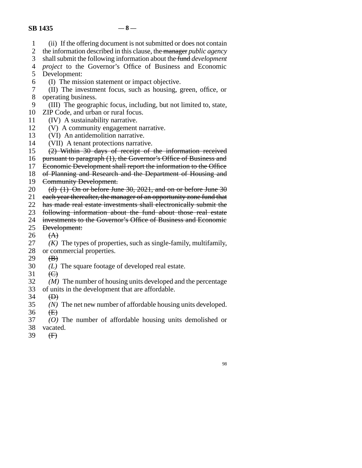- 1 (ii) If the offering document is not submitted or does not contain
- 2 the information described in this clause, the manager *public agency*<br>3 shall submit the following information about the fund *development*
- shall submit the following information about the fund *development*
- line 4 *project* to the Governor's Office of Business and Economic
- 5 Development:
- 6 (I) The mission statement or impact objective.
- 7 (II) The investment focus, such as housing, green, office, or 8 operating business.
- 9 (III) The geographic focus, including, but not limited to, state,
- 10 ZIP Code, and urban or rural focus.
- 11 (IV) A sustainability narrative.
- 12 (V) A community engagement narrative.
- 13 (VI) An antidemolition narrative.<br>14 (VII) A tenant protections narrative.
- 14 (VII) A tenant protections narrative.<br>15  $\left( 2 \right)$  Within 30 days of receipt of
- $(2)$  Within 30 days of receipt of the information received
- 16 pursuant to paragraph (1), the Governor's Office of Business and
- 17 Economic Development shall report the information to the Office
- 18 of Planning and Research and the Department of Housing and
- 19 Community Development.
- 20 (d)  $(1)$  On or before June 30, 2021, and on or before June 30
- 21 each year thereafter, the manager of an opportunity zone fund that
- 22 has made real estate investments shall electronically submit the
- 23 following information about the fund about those real estate
- 24 investments to the Governor's Office of Business and Economic<br>25 Development:
- **Development:**
- 26 (A)<br>27 (K)
- $(K)$  The types of properties, such as single-family, multifamily,
- 28 or commercial properties.
- 29  $\left(\text{B}\right)$
- 30 *(L)* The square footage of developed real estate.
- 31  $\leftarrow$
- 32 *(M)* The number of housing units developed and the percentage
- 33 of units in the development that are affordable.
- $34$   $\bigoplus$
- 35 *(N)* The net new number of affordable housing units developed.
- 36  $\leftarrow$
- line 37 *(O)* The number of affordable housing units demolished or 38 vacated.
- 39  $(H)$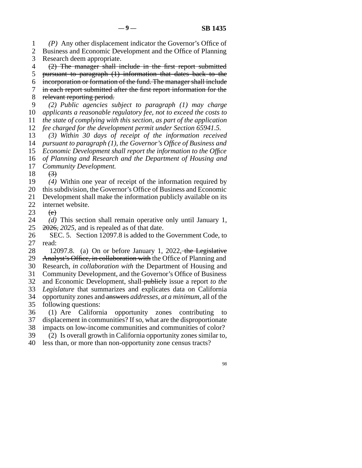line 1 *(P)* Any other displacement indicator the Governor's Office of 2 Business and Economic Development and the Office of Planning 3 Research deem appropriate.

4 (2) The manager shall include in the first report submitted

5 pursuant to paragraph  $(1)$  information that dates back to the line 6 incorporation or formation of the fund. The manager shall include

7 in each report submitted after the first report information for the

8 relevant reporting period.

 line 9 *(2) Public agencies subject to paragraph (1) may charge*  10 *applicants a reasonable regulatory fee, not to exceed the costs to* line 11 *the state of complying with this section, as part of the application* 

12 *fee charged for the development permit under Section 65941.5.* 

13 (3) Within 30 days of receipt of the information received

14 *pursuant to paragraph (1), the Governor's Office of Business and* 

15 *Economic Development shall report the information to the Office* 16 of Planning and Research and the Department of Housing and

17 *Community Development.* 

18  $(3)$ 

19 (4) Within one year of receipt of the information required by

20 this subdivision, the Governor's Office of Business and Economic

21 Development shall make the information publicly available on its

22 internet website.

23  $\left( e\right)$ 

24 *(d)* This section shall remain operative only until January 1,  $25\quad 2026$ , 2025, and is repealed as of that date.  $2026$ ,  $2025$ , and is repealed as of that date.

26 SEC. 5. Section 12097.8 is added to the Government Code, to read: read:

28 12097.8. (a) On or before January 1, 2022, the Legislative

29 Analyst's Office, in collaboration with the Office of Planning and

line 30 Research, *in collaboration with* the Department of Housing and

31 Community Development, and the Governor's Office of Business

line 32 and Economic Development, shall publicly issue a report *to the* 

33 *Legislature* that summarizes and explicates data on California line 34 opportunity zones and answers *addresses, at a minimum,* all of the

35 following questions:

36 (1) Are California opportunity zones contributing to 37 displacement in communities? If so, what are the disproportionate 38 impacts on low-income communities and communities of color?

39 (2) Is overall growth in California opportunity zones similar to,

40 less than, or more than non-opportunity zone census tracts?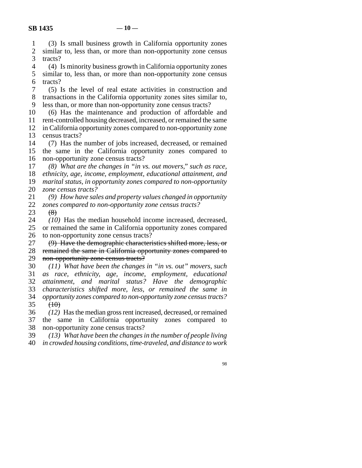line 1 (3) Is small business growth in California opportunity zones 2 similar to, less than, or more than non-opportunity zone census<br>3 tracts? tracts? line 4 (4) Is minority business growth in California opportunity zones

5 similar to, less than, or more than non-opportunity zone census 6 tracts?

 line 7 (5) Is the level of real estate activities in construction and 8 transactions in the California opportunity zones sites similar to, 9 less than, or more than non-opportunity zone census tracts?

10 (6) Has the maintenance and production of affordable and

11 rent-controlled housing decreased, increased, or remained the same 12 in California opportunity zones compared to non-opportunity zone 13 census tracts?

14 (7) Has the number of jobs increased, decreased, or remained 15 the same in the California opportunity zones compared to 16 non-opportunity zone census tracts?

17 (8) What are the changes in "in vs. out movers," such as race, *ethnicity, age, income, employment, educational attainment, and marital status, in opportunity zones compared to non-opportunity zone census tracts?* 

 line 21 *(9) How have sales and property values changed in opportunity*  22 *zones compared to non-opportunity zone census tracts?*<br>23 <del>(8)</del>  $\left( 8\right)$ 

24 *(10)* Has the median household income increased, decreased, 25 or remained the same in California opportunity zones compared or remained the same in California opportunity zones compared 26 to non-opportunity zone census tracts?<br>27  $\left(9\right)$  Have the demographic characteri

27 (9) Have the demographic characteristics shifted more, less, or remained the same in California opportunity zones compared to remained the same in California opportunity zones compared to 29 non-opportunity zone census tracts?

 line 30 *(11) What have been the changes in "in vs. out" movers, such*  line 31 *as race, ethnicity, age, income, employment, educational*  line 32 *attainment, and marital status? Have the demographic*  33 *characteristics shifted more, less, or remained the same in*  line 34 *opportunity zones compared to non-opportunity zone census tracts?*  35  $(10)$ 

 line 36 *(12)* Has the median gross rent increased, decreased, or remained 37 the same in California opportunity zones compared to 38 non-opportunity zone census tracts?

 line 39 *(13) What have been the changes in the number of people living*  line 40 *in crowded housing conditions, time-traveled, and distance to work*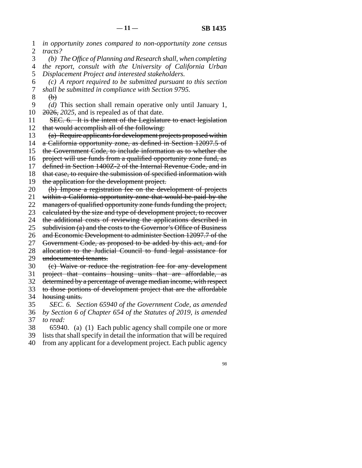line 1 *in opportunity zones compared to non-opportunity zone census*  2 *tracts?* 

 line 3 *(b) The Office of Planning and Research shall, when completing*  line 4 *the report, consult with the University of California Urban*  5 *Displacement Project and interested stakeholders.* 

 line 6 *(c) A report required to be submitted pursuant to this section*  line 7 *shall be submitted in compliance with Section 9795.* 

 $8$  (b)

9 *(d)* This section shall remain operative only until January 1,  $10 \quad 2026$ , 2025, and is repealed as of that date.

11 SEC. 6. It is the intent of the Legislature to enact legislation 12 that would accomplish all of the following:

13 (a) Require applicants for development projects proposed within

14 a California opportunity zone, as defined in Section 12097.5 of

15 the Government Code, to include information as to whether the

16 project will use funds from a qualified opportunity zone fund, as

17 defined in Section 1400Z-2 of the Internal Revenue Code, and in

18 that case, to require the submission of specified information with

19 the application for the development project.

20 (b) Impose a registration fee on the development of projects

21 within a California opportunity zone that would be paid by the

22 managers of qualified opportunity zone funds funding the project,

23 ealeulated by the size and type of development project, to recover

24 the additional costs of reviewing the applications described in  $25$  subdivision (a) and the costs to the Governor's Office of Business

subdivision (a) and the costs to the Governor's Office of Business

26 and Economic Development to administer Section 12097.7 of the

27 Government Code, as proposed to be added by this act, and for

28 allocation to the Judicial Council to fund legal assistance for 29 undocumented tenants.

30 (c) Waive or reduce the registration fee for any development

31 project that contains housing units that are affordable, as

32 determined by a percentage of average median income, with respect

33 to those portions of development project that are the affordable 34 housing units.

 line 35 *SEC. 6. Section 65940 of the Government Code, as amended*  line 36 *by Section 6 of Chapter 654 of the Statutes of 2019, is amended*  37 *to read:* 

38 65940. (a) (1) Each public agency shall compile one or more

line 39 lists that shall specify in detail the information that will be required

40 from any applicant for a development project. Each public agency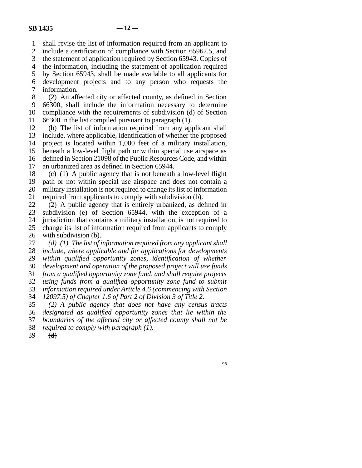1 shall revise the list of information required from an applicant to

2 include a certification of compliance with Section 65962.5, and

3 the statement of application required by Section 65943. Copies of

4 the information, including the statement of application required

5 by Section 65943, shall be made available to all applicants for line 6 development projects and to any person who requests the 7 information.

8 (2) An affected city or affected county, as defined in Section line 9 66300, shall include the information necessary to determine 10 compliance with the requirements of subdivision (d) of Section 11 66300 in the list compiled pursuant to paragraph  $(1)$ .

12 (b) The list of information required from any applicant shall 13 include, where applicable, identification of whether the proposed 14 project is located within 1,000 feet of a military installation, 15 beneath a low-level flight path or within special use airspace as 16 defined in Section 21098 of the Public Resources Code, and within 17 an urbanized area as defined in Section 65944.

18 (c) (1) A public agency that is not beneath a low-level flight 19 path or not within special use airspace and does not contain a 20 military installation is not required to change its list of information 21 required from applicants to comply with subdivision (b).

22 (2) A public agency that is entirely urbanized, as defined in  $23$  subdivision (e) of Section 65944, with the exception of a subdivision (e) of Section 65944, with the exception of a 24 jurisdiction that contains a military installation, is not required to 25 change its list of information required from applicants to comply change its list of information required from applicants to comply 26 with subdivision  $(b)$ .

27 (d) (1) The list of information required from any applicant shall 28 *include, where applicable and for applications for developments* 29 *within qualified opportunity zones, identification of whether*  line 30 *development and operation of the proposed project will use funds*  line 31 *from a qualified opportunity zone fund, and shall require projects*  line 32 *using funds from a qualified opportunity zone fund to submit*  33 *information required under Article 4.6 (commencing with Section* line 34 *12097.5) of Chapter 1.6 of Part 2 of Division 3 of Title 2.* 

 line 35 *(2) A public agency that does not have any census tracts*  line 36 *designated as qualified opportunity zones that lie within the*  37 *boundaries of the affected city or affected county shall not be* 38 *required to comply with paragraph (1).* 

39  $(d)$